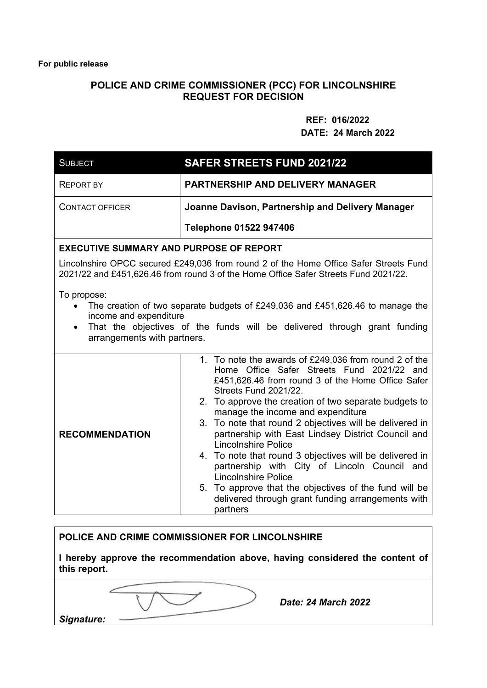## **POLICE AND CRIME COMMISSIONER (PCC) FOR LINCOLNSHIRE REQUEST FOR DECISION**

## **REF: 016/2022 DATE: 24 March 2022**

| <b>SUBJECT</b>                                                                                                                                                                                                                                  | <b>SAFER STREETS FUND 2021/22</b>                                                                                                                                                                                                                                                                                                                                                                                                                                                                                                                                                                                                                                                                 |  |
|-------------------------------------------------------------------------------------------------------------------------------------------------------------------------------------------------------------------------------------------------|---------------------------------------------------------------------------------------------------------------------------------------------------------------------------------------------------------------------------------------------------------------------------------------------------------------------------------------------------------------------------------------------------------------------------------------------------------------------------------------------------------------------------------------------------------------------------------------------------------------------------------------------------------------------------------------------------|--|
| <b>REPORT BY</b>                                                                                                                                                                                                                                | <b>PARTNERSHIP AND DELIVERY MANAGER</b>                                                                                                                                                                                                                                                                                                                                                                                                                                                                                                                                                                                                                                                           |  |
| <b>CONTACT OFFICER</b>                                                                                                                                                                                                                          | Joanne Davison, Partnership and Delivery Manager                                                                                                                                                                                                                                                                                                                                                                                                                                                                                                                                                                                                                                                  |  |
|                                                                                                                                                                                                                                                 | <b>Telephone 01522 947406</b>                                                                                                                                                                                                                                                                                                                                                                                                                                                                                                                                                                                                                                                                     |  |
| <b>EXECUTIVE SUMMARY AND PURPOSE OF REPORT</b>                                                                                                                                                                                                  |                                                                                                                                                                                                                                                                                                                                                                                                                                                                                                                                                                                                                                                                                                   |  |
| Lincolnshire OPCC secured £249,036 from round 2 of the Home Office Safer Streets Fund<br>2021/22 and £451,626.46 from round 3 of the Home Office Safer Streets Fund 2021/22.                                                                    |                                                                                                                                                                                                                                                                                                                                                                                                                                                                                                                                                                                                                                                                                                   |  |
| To propose:<br>The creation of two separate budgets of £249,036 and £451,626.46 to manage the<br>income and expenditure<br>That the objectives of the funds will be delivered through grant funding<br>$\bullet$<br>arrangements with partners. |                                                                                                                                                                                                                                                                                                                                                                                                                                                                                                                                                                                                                                                                                                   |  |
| <b>RECOMMENDATION</b>                                                                                                                                                                                                                           | 1. To note the awards of £249,036 from round 2 of the<br>Home Office Safer Streets Fund 2021/22 and<br>£451,626.46 from round 3 of the Home Office Safer<br>Streets Fund 2021/22.<br>2. To approve the creation of two separate budgets to<br>manage the income and expenditure<br>3. To note that round 2 objectives will be delivered in<br>partnership with East Lindsey District Council and<br><b>Lincolnshire Police</b><br>4. To note that round 3 objectives will be delivered in<br>partnership with City of Lincoln Council and<br><b>Lincolnshire Police</b><br>5. To approve that the objectives of the fund will be<br>delivered through grant funding arrangements with<br>partners |  |

## **POLICE AND CRIME COMMISSIONER FOR LINCOLNSHIRE**

**I hereby approve the recommendation above, having considered the content of this report.** 

*Date: 24 March 2022*

*Signature:*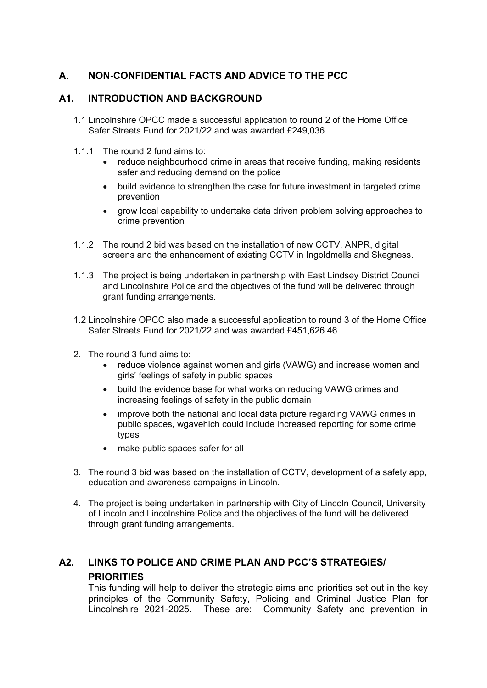# **A. NON-CONFIDENTIAL FACTS AND ADVICE TO THE PCC**

## **A1. INTRODUCTION AND BACKGROUND**

- 1.1 Lincolnshire OPCC made a successful application to round 2 of the Home Office Safer Streets Fund for 2021/22 and was awarded £249,036.
- 1.1.1 The round 2 fund aims to:
	- reduce neighbourhood crime in areas that receive funding, making residents safer and reducing demand on the police
	- build evidence to strengthen the case for future investment in targeted crime prevention
	- grow local capability to undertake data driven problem solving approaches to crime prevention
- 1.1.2 The round 2 bid was based on the installation of new CCTV, ANPR, digital screens and the enhancement of existing CCTV in Ingoldmells and Skegness.
- 1.1.3 The project is being undertaken in partnership with East Lindsey District Council and Lincolnshire Police and the objectives of the fund will be delivered through grant funding arrangements.
- 1.2 Lincolnshire OPCC also made a successful application to round 3 of the Home Office Safer Streets Fund for 2021/22 and was awarded £451,626.46.
- 2. The round 3 fund aims to:
	- reduce violence against women and girls (VAWG) and increase women and girls' feelings of safety in public spaces
	- build the evidence base for what works on reducing VAWG crimes and increasing feelings of safety in the public domain
	- improve both the national and local data picture regarding VAWG crimes in public spaces, wgavehich could include increased reporting for some crime types
	- make public spaces safer for all
- 3. The round 3 bid was based on the installation of CCTV, development of a safety app, education and awareness campaigns in Lincoln.
- 4. The project is being undertaken in partnership with City of Lincoln Council, University of Lincoln and Lincolnshire Police and the objectives of the fund will be delivered through grant funding arrangements.

# **A2. LINKS TO POLICE AND CRIME PLAN AND PCC'S STRATEGIES/ PRIORITIES**

 This funding will help to deliver the strategic aims and priorities set out in the key principles of the Community Safety, Policing and Criminal Justice Plan for Lincolnshire 2021-2025. These are: Community Safety and prevention in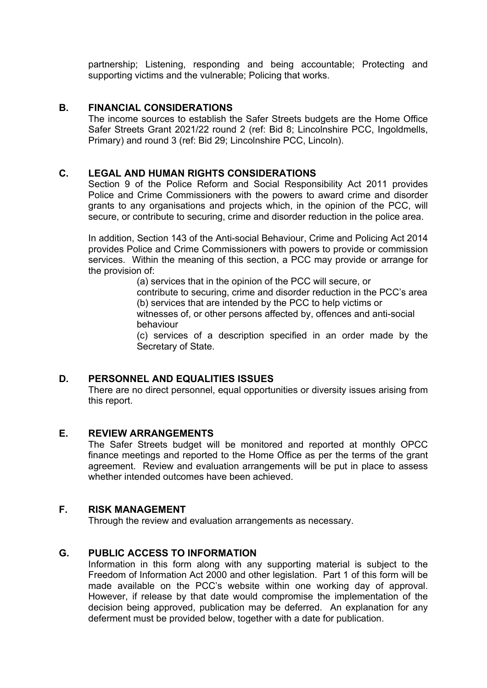partnership; Listening, responding and being accountable; Protecting and supporting victims and the vulnerable; Policing that works.

## **B. FINANCIAL CONSIDERATIONS**

The income sources to establish the Safer Streets budgets are the Home Office Safer Streets Grant 2021/22 round 2 (ref: Bid 8; Lincolnshire PCC, Ingoldmells, Primary) and round 3 (ref: Bid 29; Lincolnshire PCC, Lincoln).

## **C. LEGAL AND HUMAN RIGHTS CONSIDERATIONS**

Section 9 of the Police Reform and Social Responsibility Act 2011 provides Police and Crime Commissioners with the powers to award crime and disorder grants to any organisations and projects which, in the opinion of the PCC, will secure, or contribute to securing, crime and disorder reduction in the police area.

In addition, Section 143 of the Anti-social Behaviour, Crime and Policing Act 2014 provides Police and Crime Commissioners with powers to provide or commission services. Within the meaning of this section, a PCC may provide or arrange for the provision of:

(a) services that in the opinion of the PCC will secure, or contribute to securing, crime and disorder reduction in the PCC's area (b) services that are intended by the PCC to help victims or witnesses of, or other persons affected by, offences and anti-social behaviour

(c) services of a description specified in an order made by the Secretary of State.

## **D. PERSONNEL AND EQUALITIES ISSUES**

There are no direct personnel, equal opportunities or diversity issues arising from this report.

#### **E. REVIEW ARRANGEMENTS**

The Safer Streets budget will be monitored and reported at monthly OPCC finance meetings and reported to the Home Office as per the terms of the grant agreement. Review and evaluation arrangements will be put in place to assess whether intended outcomes have been achieved.

## **F. RISK MANAGEMENT**

Through the review and evaluation arrangements as necessary.

#### **G. PUBLIC ACCESS TO INFORMATION**

Information in this form along with any supporting material is subject to the Freedom of Information Act 2000 and other legislation. Part 1 of this form will be made available on the PCC's website within one working day of approval. However, if release by that date would compromise the implementation of the decision being approved, publication may be deferred. An explanation for any deferment must be provided below, together with a date for publication.